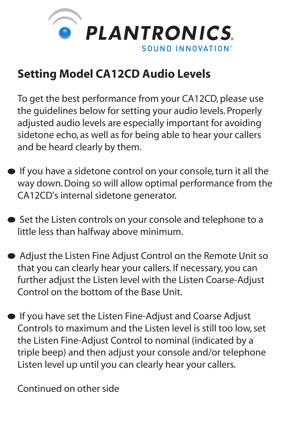

## **Setting Model CA12CD Audio Levels**

To get the best performance from your CA12CD, please use the guidelines below for setting your audio levels. Properly adjusted audio levels are especially important for avoiding sidetone echo, as well as for being able to hear your callers and be heard clearly by them.

- If you have a sidetone control on your console, turn it all the way down. Doing so will allow optimal performance from the CA12CD's internal sidetone generator.
- Set the Listen controls on your console and telephone to a little less than halfway above minimum.
- Adjust the Listen Fine Adjust Control on the Remote Unit so that you can clearly hear your callers. If necessary, you can further adjust the Listen level with the Listen Coarse-Adjust Control on the bottom of the Base Unit.
- If you have set the Listen Fine-Adjust and Coarse Adjust Controls to maximum and the Listen level is still too low, set the Listen Fine-Adjust Control to nominal (indicated by a triple beep) and then adjust your console and/or telephone Listen level up until you can clearly hear your callers.

Continued on other side